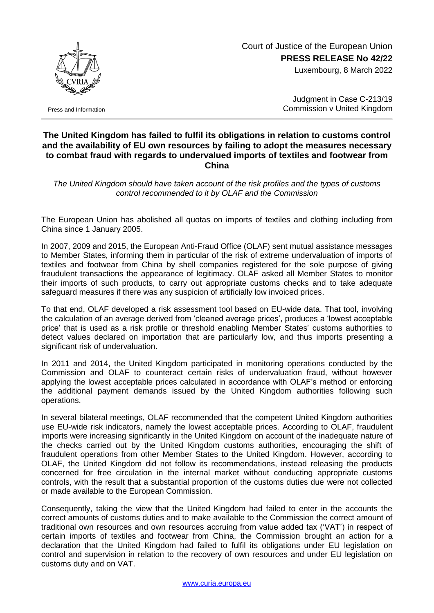## Court of Justice of the European Union **PRESS RELEASE No 42/22**

Luxembourg, 8 March 2022



Press and Information

Judgment in Case C-213/19 Commission v United Kingdom

## **The United Kingdom has failed to fulfil its obligations in relation to customs control and the availability of EU own resources by failing to adopt the measures necessary to combat fraud with regards to undervalued imports of textiles and footwear from China**

*The United Kingdom should have taken account of the risk profiles and the types of customs control recommended to it by OLAF and the Commission*

The European Union has abolished all quotas on imports of textiles and clothing including from China since 1 January 2005.

In 2007, 2009 and 2015, the European Anti-Fraud Office (OLAF) sent mutual assistance messages to Member States, informing them in particular of the risk of extreme undervaluation of imports of textiles and footwear from China by shell companies registered for the sole purpose of giving fraudulent transactions the appearance of legitimacy. OLAF asked all Member States to monitor their imports of such products, to carry out appropriate customs checks and to take adequate safeguard measures if there was any suspicion of artificially low invoiced prices.

To that end, OLAF developed a risk assessment tool based on EU-wide data. That tool, involving the calculation of an average derived from 'cleaned average prices', produces a 'lowest acceptable price' that is used as a risk profile or threshold enabling Member States' customs authorities to detect values declared on importation that are particularly low, and thus imports presenting a significant risk of undervaluation.

In 2011 and 2014, the United Kingdom participated in monitoring operations conducted by the Commission and OLAF to counteract certain risks of undervaluation fraud, without however applying the lowest acceptable prices calculated in accordance with OLAF's method or enforcing the additional payment demands issued by the United Kingdom authorities following such operations.

In several bilateral meetings, OLAF recommended that the competent United Kingdom authorities use EU-wide risk indicators, namely the lowest acceptable prices. According to OLAF, fraudulent imports were increasing significantly in the United Kingdom on account of the inadequate nature of the checks carried out by the United Kingdom customs authorities, encouraging the shift of fraudulent operations from other Member States to the United Kingdom. However, according to OLAF, the United Kingdom did not follow its recommendations, instead releasing the products concerned for free circulation in the internal market without conducting appropriate customs controls, with the result that a substantial proportion of the customs duties due were not collected or made available to the European Commission.

Consequently, taking the view that the United Kingdom had failed to enter in the accounts the correct amounts of customs duties and to make available to the Commission the correct amount of traditional own resources and own resources accruing from value added tax ('VAT') in respect of certain imports of textiles and footwear from China, the Commission brought an action for a declaration that the United Kingdom had failed to fulfil its obligations under EU legislation on control and supervision in relation to the recovery of own resources and under EU legislation on customs duty and on VAT.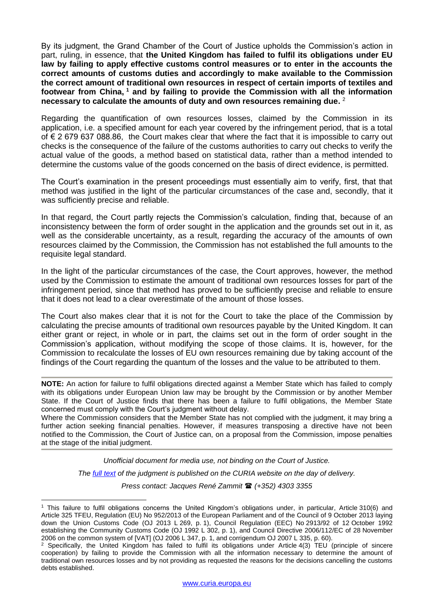By its judgment, the Grand Chamber of the Court of Justice upholds the Commission's action in part, ruling, in essence, that **the United Kingdom has failed to fulfil its obligations under EU law by failing to apply effective customs control measures or to enter in the accounts the correct amounts of customs duties and accordingly to make available to the Commission the correct amount of traditional own resources in respect of certain imports of textiles and footwear from China, <sup>1</sup> and by failing to provide the Commission with all the information necessary to calculate the amounts of duty and own resources remaining due.** 2

Regarding the quantification of own resources losses, claimed by the Commission in its application, i.e. a specified amount for each year covered by the infringement period, that is a total of € 2 679 637 088.86, the Court makes clear that where the fact that it is impossible to carry out checks is the consequence of the failure of the customs authorities to carry out checks to verify the actual value of the goods, a method based on statistical data, rather than a method intended to determine the customs value of the goods concerned on the basis of direct evidence, is permitted.

The Court's examination in the present proceedings must essentially aim to verify, first, that that method was justified in the light of the particular circumstances of the case and, secondly, that it was sufficiently precise and reliable.

In that regard, the Court partly rejects the Commission's calculation, finding that, because of an inconsistency between the form of order sought in the application and the grounds set out in it, as well as the considerable uncertainty, as a result, regarding the accuracy of the amounts of own resources claimed by the Commission, the Commission has not established the full amounts to the requisite legal standard.

In the light of the particular circumstances of the case, the Court approves, however, the method used by the Commission to estimate the amount of traditional own resources losses for part of the infringement period, since that method has proved to be sufficiently precise and reliable to ensure that it does not lead to a clear overestimate of the amount of those losses.

The Court also makes clear that it is not for the Court to take the place of the Commission by calculating the precise amounts of traditional own resources payable by the United Kingdom. It can either grant or reject, in whole or in part, the claims set out in the form of order sought in the Commission's application, without modifying the scope of those claims. It is, however, for the Commission to recalculate the losses of EU own resources remaining due by taking account of the findings of the Court regarding the quantum of the losses and the value to be attributed to them.

**NOTE:** An action for failure to fulfil obligations directed against a Member State which has failed to comply with its obligations under European Union law may be brought by the Commission or by another Member State. If the Court of Justice finds that there has been a failure to fulfil obligations, the Member State concerned must comply with the Court's judgment without delay.

Where the Commission considers that the Member State has not complied with the judgment, it may bring a further action seeking financial penalties. However, if measures transposing a directive have not been notified to the Commission, the Court of Justice can, on a proposal from the Commission, impose penalties at the stage of the initial judgment.

> *Unofficial document for media use, not binding on the Court of Justice. The [full text](http://curia.europa.eu/juris/documents.jsf?num=C-213/19) of the judgment is published on the CURIA website on the day of delivery.*

*Press contact: Jacques René Zammit (+352) 4303 3355*

1

<sup>1</sup> This failure to fulfil obligations concerns the United Kingdom's obligations under, in particular, Article 310(6) and Article 325 TFEU, Regulation (EU) No 952/2013 of the European Parliament and of the Council of 9 October 2013 laying down the Union Customs Code (OJ 2013 L 269, p. 1), Council Regulation (EEC) No 2913/92 of 12 October 1992 establishing the Community Customs Code (OJ 1992 L 302, p. 1), and Council Directive 2006/112/EC of 28 November 2006 on the common system of [VAT] (OJ 2006 L 347, p. 1, and corrigendum OJ 2007 L 335, p. 60).

<sup>2</sup> Specifically, the United Kingdom has failed to fulfil its obligations under Article 4(3) TEU (principle of sincere cooperation) by failing to provide the Commission with all the information necessary to determine the amount of traditional own resources losses and by not providing as requested the reasons for the decisions cancelling the customs debts established.